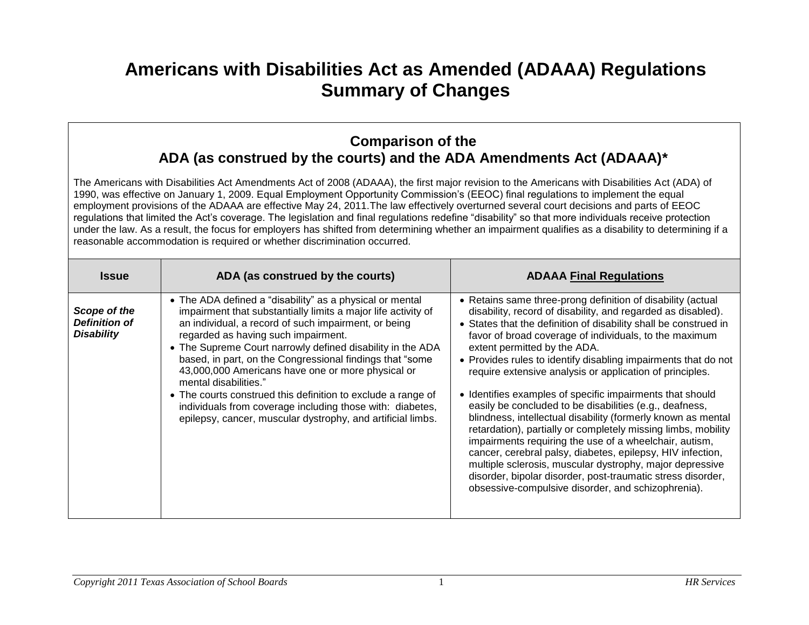## **Americans with Disabilities Act as Amended (ADAAA) Regulations Summary of Changes**

## **Comparison of the ADA (as construed by the courts) and the ADA Amendments Act (ADAAA)\***

The Americans with Disabilities Act Amendments Act of 2008 (ADAAA), the first major revision to the Americans with Disabilities Act (ADA) of 1990, was effective on January 1, 2009. Equal Employment Opportunity Commission's (EEOC) final regulations to implement the equal employment provisions of the ADAAA are effective May 24, 2011.The law effectively overturned several court decisions and parts of EEOC regulations that limited the Act's coverage. The legislation and final regulations redefine "disability" so that more individuals receive protection under the law. As a result, the focus for employers has shifted from determining whether an impairment qualifies as a disability to determining if a reasonable accommodation is required or whether discrimination occurred.

| <b>Issue</b>                                              | ADA (as construed by the courts)                                                                                                                                                                                                                                                                                                                                                                                                                                                                                                                                                                                             | <b>ADAAA Final Regulations</b>                                                                                                                                                                                                                                                                                                                                                                                                                                                                                                                                                                                                                                                                                                                                                                                                                                                                                                                                                            |
|-----------------------------------------------------------|------------------------------------------------------------------------------------------------------------------------------------------------------------------------------------------------------------------------------------------------------------------------------------------------------------------------------------------------------------------------------------------------------------------------------------------------------------------------------------------------------------------------------------------------------------------------------------------------------------------------------|-------------------------------------------------------------------------------------------------------------------------------------------------------------------------------------------------------------------------------------------------------------------------------------------------------------------------------------------------------------------------------------------------------------------------------------------------------------------------------------------------------------------------------------------------------------------------------------------------------------------------------------------------------------------------------------------------------------------------------------------------------------------------------------------------------------------------------------------------------------------------------------------------------------------------------------------------------------------------------------------|
| Scope of the<br><b>Definition of</b><br><b>Disability</b> | • The ADA defined a "disability" as a physical or mental<br>impairment that substantially limits a major life activity of<br>an individual, a record of such impairment, or being<br>regarded as having such impairment.<br>• The Supreme Court narrowly defined disability in the ADA<br>based, in part, on the Congressional findings that "some<br>43,000,000 Americans have one or more physical or<br>mental disabilities."<br>• The courts construed this definition to exclude a range of<br>individuals from coverage including those with: diabetes,<br>epilepsy, cancer, muscular dystrophy, and artificial limbs. | • Retains same three-prong definition of disability (actual<br>disability, record of disability, and regarded as disabled).<br>• States that the definition of disability shall be construed in<br>favor of broad coverage of individuals, to the maximum<br>extent permitted by the ADA.<br>• Provides rules to identify disabling impairments that do not<br>require extensive analysis or application of principles.<br>• Identifies examples of specific impairments that should<br>easily be concluded to be disabilities (e.g., deafness,<br>blindness, intellectual disability (formerly known as mental<br>retardation), partially or completely missing limbs, mobility<br>impairments requiring the use of a wheelchair, autism,<br>cancer, cerebral palsy, diabetes, epilepsy, HIV infection,<br>multiple sclerosis, muscular dystrophy, major depressive<br>disorder, bipolar disorder, post-traumatic stress disorder,<br>obsessive-compulsive disorder, and schizophrenia). |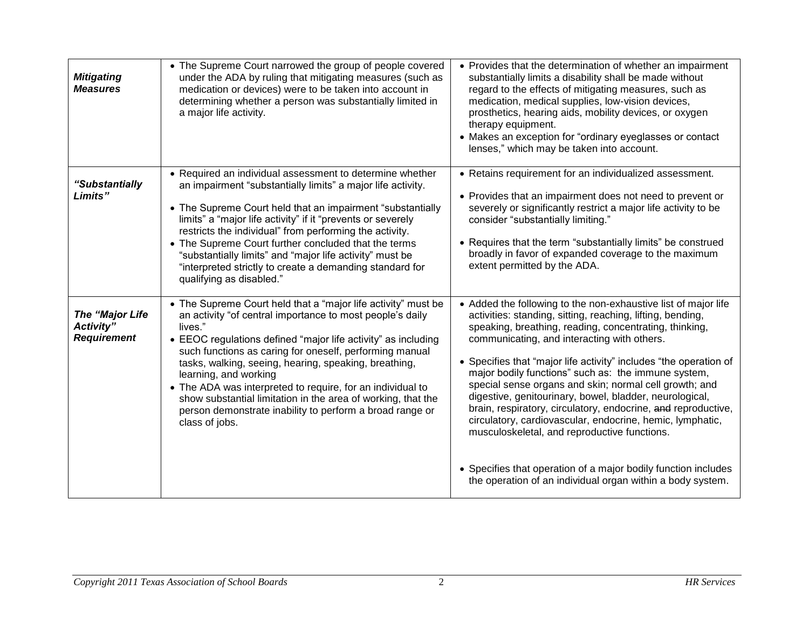| <b>Mitigating</b><br><b>Measures</b>               | • The Supreme Court narrowed the group of people covered<br>under the ADA by ruling that mitigating measures (such as<br>medication or devices) were to be taken into account in<br>determining whether a person was substantially limited in<br>a major life activity.                                                                                                                                                                                                                                                                                         | • Provides that the determination of whether an impairment<br>substantially limits a disability shall be made without<br>regard to the effects of mitigating measures, such as<br>medication, medical supplies, low-vision devices,<br>prosthetics, hearing aids, mobility devices, or oxygen<br>therapy equipment.<br>• Makes an exception for "ordinary eyeglasses or contact<br>lenses," which may be taken into account.                                                                                                                                                                                                                                                                                                                                                                         |
|----------------------------------------------------|-----------------------------------------------------------------------------------------------------------------------------------------------------------------------------------------------------------------------------------------------------------------------------------------------------------------------------------------------------------------------------------------------------------------------------------------------------------------------------------------------------------------------------------------------------------------|------------------------------------------------------------------------------------------------------------------------------------------------------------------------------------------------------------------------------------------------------------------------------------------------------------------------------------------------------------------------------------------------------------------------------------------------------------------------------------------------------------------------------------------------------------------------------------------------------------------------------------------------------------------------------------------------------------------------------------------------------------------------------------------------------|
| "Substantially<br>Limits"                          | • Required an individual assessment to determine whether<br>an impairment "substantially limits" a major life activity.<br>• The Supreme Court held that an impairment "substantially<br>limits" a "major life activity" if it "prevents or severely<br>restricts the individual" from performing the activity.<br>• The Supreme Court further concluded that the terms<br>"substantially limits" and "major life activity" must be<br>"interpreted strictly to create a demanding standard for<br>qualifying as disabled."                                     | • Retains requirement for an individualized assessment.<br>• Provides that an impairment does not need to prevent or<br>severely or significantly restrict a major life activity to be<br>consider "substantially limiting."<br>• Requires that the term "substantially limits" be construed<br>broadly in favor of expanded coverage to the maximum<br>extent permitted by the ADA.                                                                                                                                                                                                                                                                                                                                                                                                                 |
| The "Major Life<br>Activity"<br><b>Requirement</b> | • The Supreme Court held that a "major life activity" must be<br>an activity "of central importance to most people's daily<br>lives."<br>• EEOC regulations defined "major life activity" as including<br>such functions as caring for oneself, performing manual<br>tasks, walking, seeing, hearing, speaking, breathing,<br>learning, and working<br>• The ADA was interpreted to require, for an individual to<br>show substantial limitation in the area of working, that the<br>person demonstrate inability to perform a broad range or<br>class of jobs. | • Added the following to the non-exhaustive list of major life<br>activities: standing, sitting, reaching, lifting, bending,<br>speaking, breathing, reading, concentrating, thinking,<br>communicating, and interacting with others.<br>• Specifies that "major life activity" includes "the operation of<br>major bodily functions" such as: the immune system,<br>special sense organs and skin; normal cell growth; and<br>digestive, genitourinary, bowel, bladder, neurological,<br>brain, respiratory, circulatory, endocrine, and reproductive,<br>circulatory, cardiovascular, endocrine, hemic, lymphatic,<br>musculoskeletal, and reproductive functions.<br>• Specifies that operation of a major bodily function includes<br>the operation of an individual organ within a body system. |